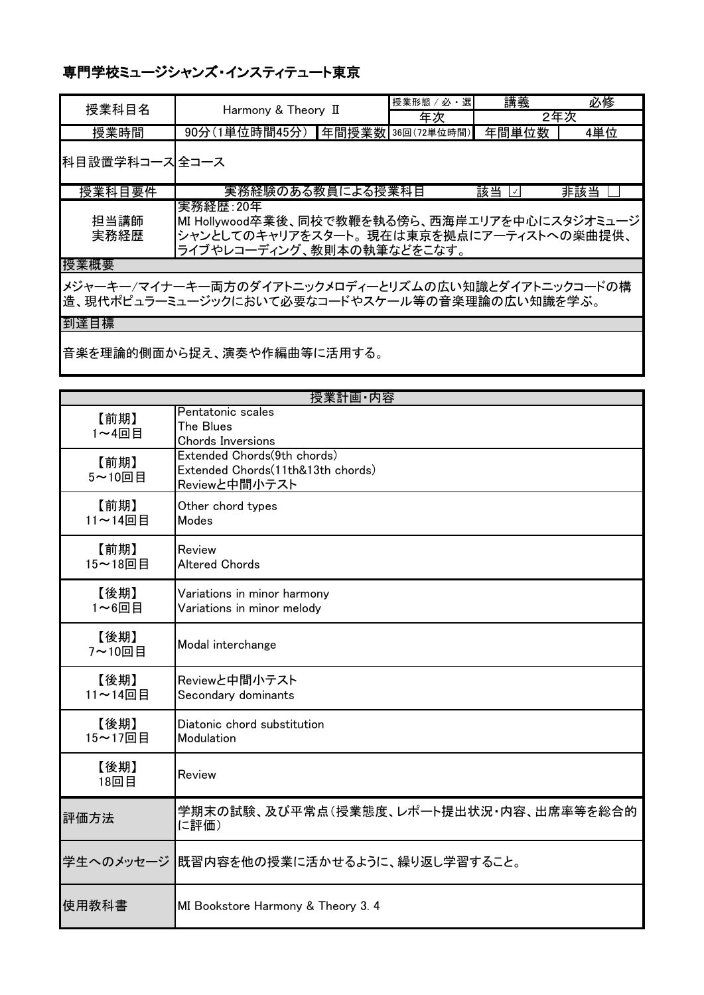| 授業科目名          | Harmony & Theory II                                                                                                                  | 授業形態 / 必<br>選     | 講義       | 必修  |
|----------------|--------------------------------------------------------------------------------------------------------------------------------------|-------------------|----------|-----|
|                |                                                                                                                                      | 年次                |          | 2年次 |
| 授業時間           | 90分(1単位時間45分)                                                                                                                        | 年間授業数 36回(72単位時間) | 年間単位数    | 4単位 |
| 科目設置学科コース 全コース |                                                                                                                                      |                   |          |     |
| 授業科目要件         | 実務経験のある教員による授業科目                                                                                                                     |                   | 該当<br>∣✓ | 非該当 |
| 担当講師<br>実務経歴   | 実務経歴:20年<br> MI Hollywood卒業後、同校で教鞭を執る傍ら、西海岸エリアを中心にスタジオミュージ <br> シャンとしてのキャリアをスタート。現在は東京を拠点にアーティストへの楽曲提供、<br>ライブやレコーディング、教則本の執筆などをこなす。 |                   |          |     |
| 授業概要           |                                                                                                                                      |                   |          |     |
|                | メジャーキー/マイナーキー両方のダイアトニックメロディーとリズムの広い知識とダイアトニックコードの構<br>■造、現代ポピュラーミュージックにおいて必要なコードやスケール等の音楽理論の広い知識を学ぶ。                                 |                   |          |     |
| 到達目標           |                                                                                                                                      |                   |          |     |

音楽を理論的側面から捉え、演奏や作編曲等に活用する。

|                 | 授業計画·内容                                                                           |
|-----------------|-----------------------------------------------------------------------------------|
| 【前期】<br>1~4回目   | Pentatonic scales<br>The Blues<br><b>Chords Inversions</b>                        |
| 【前期】<br>5~10回目  | Extended Chords(9th chords)<br>Extended Chords(11th&13th chords)<br>Reviewと中間小テスト |
| 【前期】<br>11~14回目 | Other chord types<br>Modes                                                        |
| 【前期】<br>15~18回目 | Review<br><b>Altered Chords</b>                                                   |
| 【後期】<br>1~6回目   | Variations in minor harmony<br>Variations in minor melody                         |
| 【後期】<br>7~10回目  | Modal interchange                                                                 |
| 【後期】<br>11~14回目 | Reviewと中間小テスト<br>Secondary dominants                                              |
| 【後期】<br>15~17回目 | Diatonic chord substitution<br>Modulation                                         |
| 【後期】<br>18回目    | Review                                                                            |
| 評価方法            | 学期末の試験、及び平常点(授業態度、レポート提出状況・内容、出席率等を総合的<br>に評価)                                    |
|                 | 学生へのメッセージ  既習内容を他の授業に活かせるように、繰り返し学習すること。                                          |
| 使用教科書           | MI Bookstore Harmony & Theory 3. 4                                                |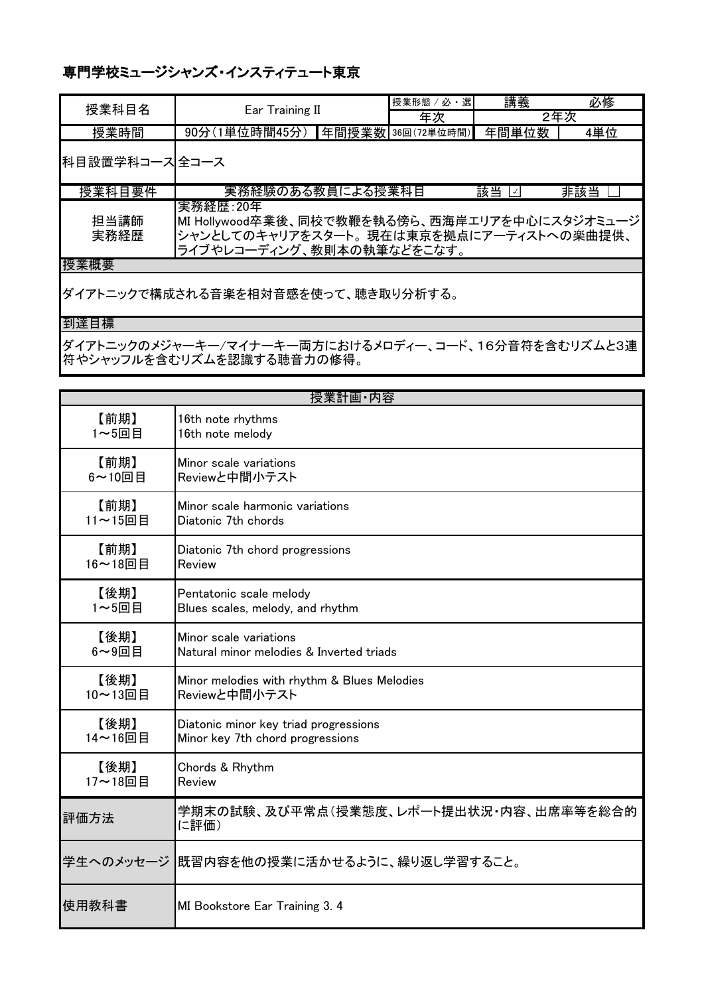| 授業科目名          | Ear Training II                                                                                                                      |  | 選<br>授業形態 / 必      | 講義    | 必修  |
|----------------|--------------------------------------------------------------------------------------------------------------------------------------|--|--------------------|-------|-----|
|                |                                                                                                                                      |  | 年次                 |       | 2年次 |
| 授業時間           | 90分(1単位時間45分)                                                                                                                        |  | ■年間授業数 36回(72単位時間) | 年間単位数 | 4単位 |
| 科目設置学科コース」全コース |                                                                                                                                      |  |                    |       |     |
| 授業科目要件         | 実務経験のある教員による授業科目                                                                                                                     |  |                    | 該当 図  | 非該当 |
| 担当講師<br>実務経歴   | 実務経歴:20年<br> MI Hollywood卒業後、同校で教鞭を執る傍ら、西海岸エリアを中心にスタジオミュージ <br> シャンとしてのキャリアをスタート。現在は東京を拠点にアーティストへの楽曲提供、<br>ライブやレコーディング、教則本の執筆などをこなす。 |  |                    |       |     |
| 授業概要           |                                                                                                                                      |  |                    |       |     |

ダイアトニックで構成される音楽を相対音感を使って、聴き取り分析する。

#### 到達目標

ダイアトニックのメジャーキー/マイナーキー両方におけるメロディー、コード、16分音符を含むリズムと3連 符やシャッフルを含むリズムを認識する聴音力の修得。

| 授業計画·内容       |                                                |  |  |
|---------------|------------------------------------------------|--|--|
| 【前期】          | 16th note rhythms                              |  |  |
| 1~5回目         | 16th note melody                               |  |  |
| 【前期】          | Minor scale variations                         |  |  |
| 6~10回目        | Reviewと中間小テスト                                  |  |  |
| 【前期】          | Minor scale harmonic variations                |  |  |
| 11~15回目       | Diatonic 7th chords                            |  |  |
| 【前期】          | Diatonic 7th chord progressions                |  |  |
| 16~18回目       | Review                                         |  |  |
| 【後期】          | Pentatonic scale melody                        |  |  |
| 1~5回目         | Blues scales, melody, and rhythm               |  |  |
| 【後期】          | Minor scale variations                         |  |  |
| $6 \sim 9$ 回目 | Natural minor melodies & Inverted triads       |  |  |
| 【後期】          | Minor melodies with rhythm & Blues Melodies    |  |  |
| 10~13回目       | Reviewと中間小テスト                                  |  |  |
| 【後期】          | Diatonic minor key triad progressions          |  |  |
| 14~16回目       | Minor key 7th chord progressions               |  |  |
| 【後期】          | Chords & Rhythm                                |  |  |
| 17~18回目       | Review                                         |  |  |
| 評価方法          | 学期末の試験、及び平常点(授業態度、レポート提出状況・内容、出席率等を総合的<br>に評価) |  |  |
|               | 学生へのメッセージ  既習内容を他の授業に活かせるように、繰り返し学習すること。       |  |  |
| 使用教科書         | MI Bookstore Ear Training 3. 4                 |  |  |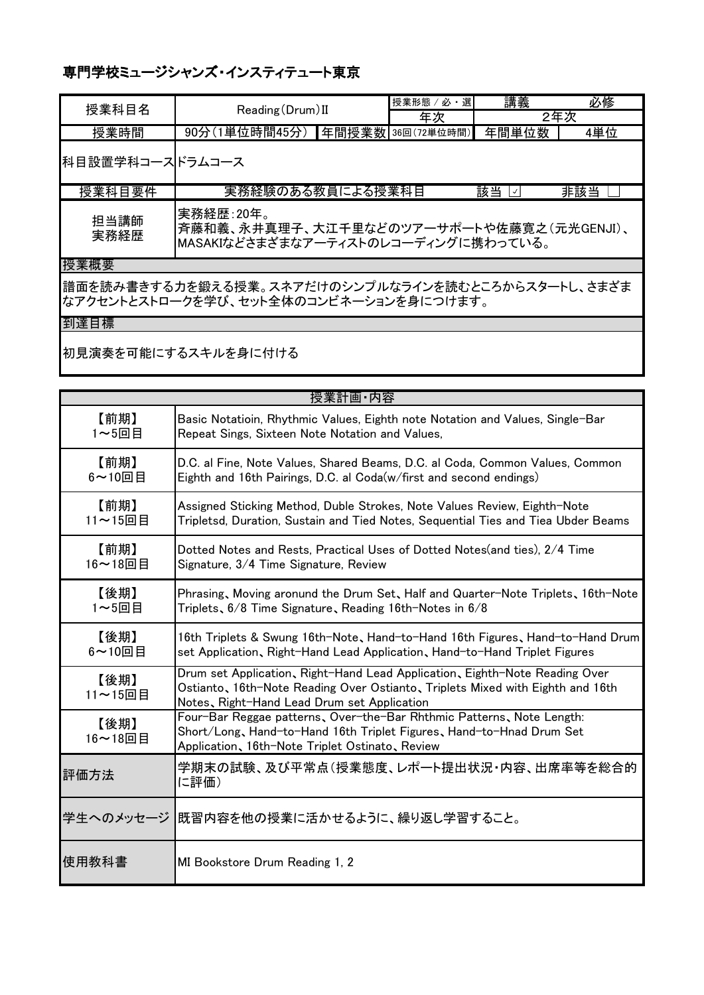| 授業科目名           | Reading (Drum) II                                                                            |  | ・選<br>授業形態 / 必 | 講義    | 必修  |
|-----------------|----------------------------------------------------------------------------------------------|--|----------------|-------|-----|
|                 |                                                                                              |  | 年次             |       | 2年次 |
| 授業時間            | 90分(1単位時間45分) 年間授業数 36回(72単位時間)                                                              |  |                | 年間単位数 | 4単位 |
| 科目設置学科コースドラムコース |                                                                                              |  |                |       |     |
| 授業科目要件          | 実務経験のある教員による授業科目                                                                             |  |                | 該当 ⊠  | 非該当 |
| 担当講師<br>実務経歴    | 実務経歴:20年。<br>斉藤和義、永井真理子、大江千里などのツアーサポートや佐藤寛之(元光GENJI)、<br>MASAKIなどさまざまなアーティストのレコーディングに携わっている。 |  |                |       |     |
| 授業概要            |                                                                                              |  |                |       |     |

譜面を読み書きする力を鍛える授業。スネアだけのシンプルなラインを読むところからスタートし、さまざま なアクセントとストロークを学び、セット全体のコンビネーションを身につけます。

到達目標

初見演奏を可能にするスキルを身に付ける

|                 | 授業計画·内容                                                                                                                                                                                                      |
|-----------------|--------------------------------------------------------------------------------------------------------------------------------------------------------------------------------------------------------------|
| 【前期】            | Basic Notatioin, Rhythmic Values, Eighth note Notation and Values, Single-Bar                                                                                                                                |
| 1~5回目           | Repeat Sings, Sixteen Note Notation and Values,                                                                                                                                                              |
| 【前期】            | D.C. al Fine, Note Values, Shared Beams, D.C. al Coda, Common Values, Common                                                                                                                                 |
| 6~10回目          | Eighth and 16th Pairings, D.C. al Coda(w/first and second endings)                                                                                                                                           |
| 【前期】            | Assigned Sticking Method, Duble Strokes, Note Values Review, Eighth-Note                                                                                                                                     |
| 11~15回目         | Tripletsd, Duration, Sustain and Tied Notes, Sequential Ties and Tiea Ubder Beams                                                                                                                            |
| 【前期】            | Dotted Notes and Rests, Practical Uses of Dotted Notes (and ties), 2/4 Time                                                                                                                                  |
| 16~18回目         | Signature, 3/4 Time Signature, Review                                                                                                                                                                        |
| 【後期】            | Phrasing, Moving aronund the Drum Set, Half and Quarter-Note Triplets, 16th-Note                                                                                                                             |
| 1~5回目           | Triplets, 6/8 Time Signature, Reading 16th-Notes in 6/8                                                                                                                                                      |
| 【後期】            | 16th Triplets & Swung 16th-Note, Hand-to-Hand 16th Figures, Hand-to-Hand Drum                                                                                                                                |
| 6~10回目          | set Application, Right-Hand Lead Application, Hand-to-Hand Triplet Figures                                                                                                                                   |
| 【後期】<br>11~15回目 | Drum set Application, Right-Hand Lead Application, Eighth-Note Reading Over<br>Ostianto, 16th-Note Reading Over Ostianto, Triplets Mixed with Eighth and 16th<br>Notes, Right-Hand Lead Drum set Application |
| 【後期】<br>16~18回目 | Four-Bar Reggae patterns, Over-the-Bar Rhthmic Patterns, Note Length:<br>Short/Long, Hand-to-Hand 16th Triplet Figures, Hand-to-Hnad Drum Set<br>Application, 16th-Note Triplet Ostinato, Review             |
| 評価方法            | 学期末の試験、及び平常点(授業態度、レポート提出状況・内容、出席率等を総合的<br>に評価)                                                                                                                                                               |
|                 | 学生へのメッセージ  既習内容を他の授業に活かせるように、繰り返し学習すること。                                                                                                                                                                     |
| 使用教科書           | MI Bookstore Drum Reading 1, 2                                                                                                                                                                               |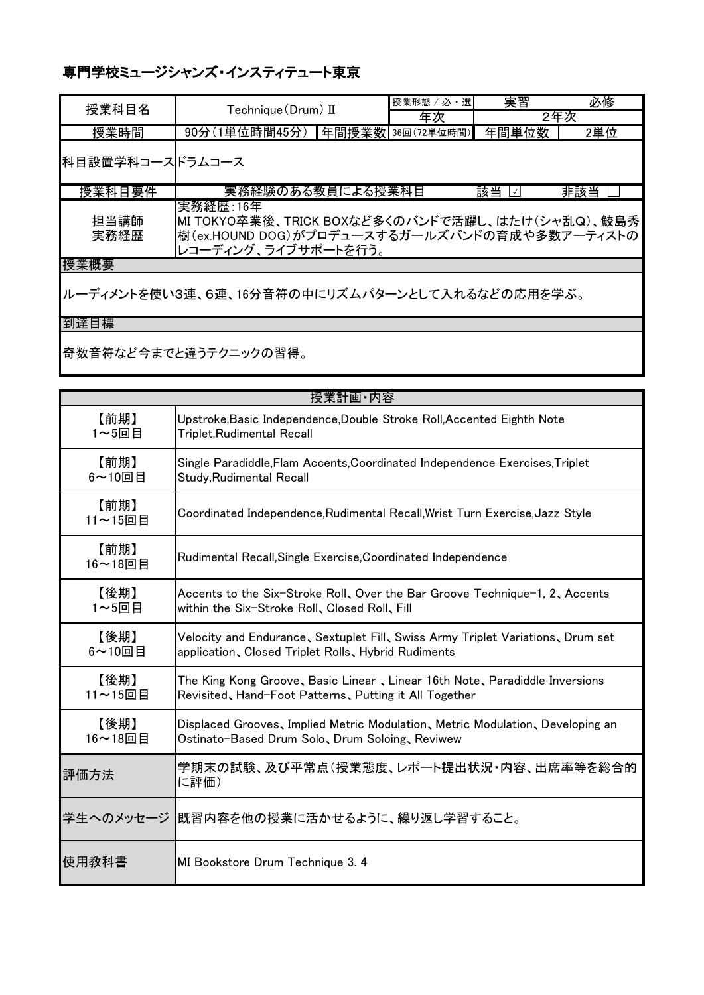| 授業科目名           | Technique (Drum) II                                                                                                                  |  | 授業形態 / 必·選        | 実習    | 必修  |
|-----------------|--------------------------------------------------------------------------------------------------------------------------------------|--|-------------------|-------|-----|
|                 |                                                                                                                                      |  | 年次                |       | 2年次 |
| 授業時間            | 90分(1単位時間45分)                                                                                                                        |  | 年間授業数 36回(72単位時間) | 年間単位数 | 2単位 |
| 科目設置学科コースドラムコース |                                                                                                                                      |  |                   |       |     |
| 授業科目要件          | 実務経験のある教員による授業科目                                                                                                                     |  |                   | 該当 國  | 非該当 |
| 担当講師<br>実務経歴    | 実務経歴:16年<br> MI TOKYO卒業後、TRICK BOXなど多くのバンドで活躍し、はたけ(シャ乱Q)、鮫島秀<br> 樹(ex.HOUND DOG)がプロデュースするガールズバンドの育成や多数アーティストの<br>レコーディング、ライブサポートを行う。 |  |                   |       |     |
| 고속 꾸는 10표 그는    |                                                                                                                                      |  |                   |       |     |

授業概要

ルーディメントを使い3連、6連、16分音符の中にリズムパターンとして入れるなどの応用を学ぶ。

到達目標

奇数音符など今までと違うテクニックの習得。

|                 | 授業計画·内容                                                                        |
|-----------------|--------------------------------------------------------------------------------|
| 【前期】            | Upstroke, Basic Independence, Double Stroke Roll, Accented Eighth Note         |
| 1~5回目           | Triplet,Rudimental Recall                                                      |
| 【前期】            | Single Paradiddle, Flam Accents, Coordinated Independence Exercises, Triplet   |
| $6$ ~10回目       | Study, Rudimental Recall                                                       |
| 【前期】<br>11~15回目 | Coordinated Independence, Rudimental Recall, Wrist Turn Exercise, Jazz Style   |
| 【前期】<br>16~18回目 | Rudimental Recall, Single Exercise, Coordinated Independence                   |
| 【後期】            | Accents to the Six-Stroke Roll, Over the Bar Groove Technique-1, 2, Accents    |
| 1~5回目           | within the Six-Stroke Roll, Closed Roll, Fill                                  |
| 【後期】            | Velocity and Endurance、Sextuplet Fill、Swiss Army Triplet Variations、Drum set   |
| 6~10回目          | application, Closed Triplet Rolls, Hybrid Rudiments                            |
| 【後期】            | The King Kong Groove, Basic Linear, Linear 16th Note, Paradiddle Inversions    |
| 11~15回目         | Revisited, Hand-Foot Patterns, Putting it All Together                         |
| 【後期】            | Displaced Grooves, Implied Metric Modulation, Metric Modulation, Developing an |
| 16~18回目         | Ostinato-Based Drum Solo、Drum Soloing、Reviwew                                  |
| 評価方法            | 学期末の試験、及び平常点(授業態度、レポート提出状況・内容、出席率等を総合的<br>に評価)                                 |
|                 | 学生へのメッセージ  既習内容を他の授業に活かせるように、繰り返し学習すること。                                       |
| 使用教科書           | MI Bookstore Drum Technique 3.4                                                |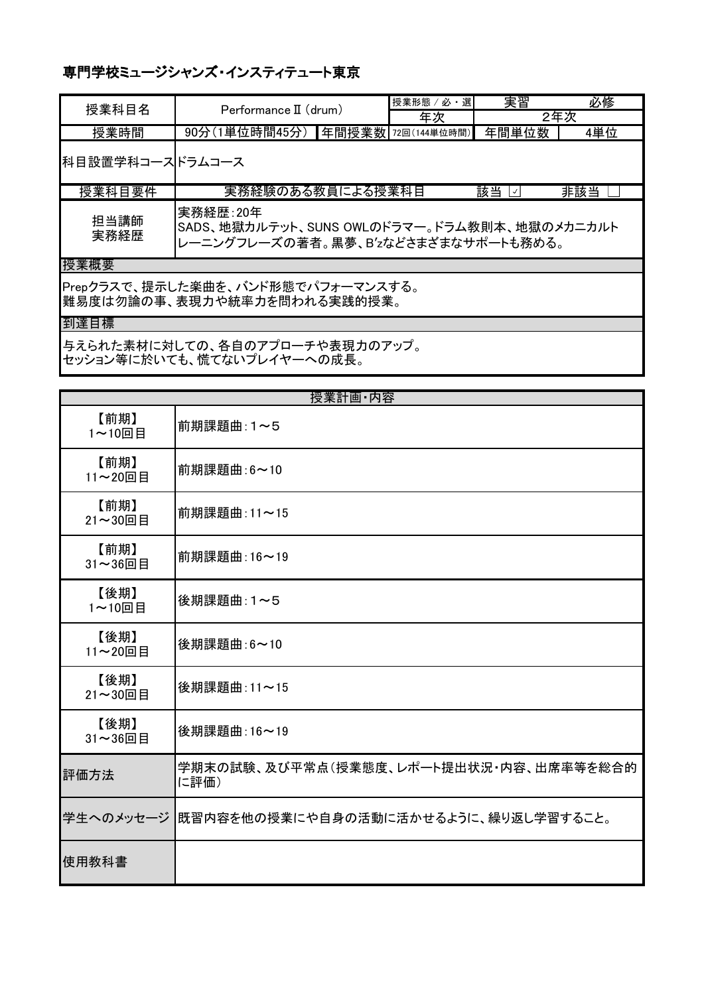| 授業科目名                                                             | Performance II (drum)                                                                          | 授業形態 / 必·選 | 実習       | 必修  |
|-------------------------------------------------------------------|------------------------------------------------------------------------------------------------|------------|----------|-----|
|                                                                   |                                                                                                | 年次         | 2年次      |     |
| 授業時間                                                              | 90分(1単位時間45分) 年間授業数 72回(144単位時間)                                                               |            | 年間単位数    | 4単位 |
| 科目設置学科コースドラムコース                                                   |                                                                                                |            |          |     |
| 授業科目要件                                                            | 実務経験のある教員による授業科目                                                                               |            | 該当<br>∃√ | 非該当 |
| 担当講師<br>実務経歴                                                      | 実務経歴:20年<br>SADS、地獄カルテット、SUNS OWLのドラマー。ドラム教則本、地獄のメカニカルト<br>レーニングフレーズの著者。黒夢、B'zなどさまざまなサポートも務める。 |            |          |     |
| 授業概要                                                              |                                                                                                |            |          |     |
| Prepクラスで、提示した楽曲を、バンド形態でパフォーマンスする。<br> 難易度は勿論の事、表現力や統率力を問われる実践的授業。 |                                                                                                |            |          |     |
| 到達目標                                                              |                                                                                                |            |          |     |

与えられた素材に対しての、各自のアプローチや表現力のアップ。 セッション等に於いても、慌てないプレイヤーへの成長。

|                 | 授業計画·内容                                        |
|-----------------|------------------------------------------------|
| 【前期】<br>1~10回目  | 前期課題曲:1~5                                      |
| 【前期】<br>11~20回目 | 前期課題曲:6~10                                     |
| 【前期】<br>21~30回目 | 前期課題曲:11~15                                    |
| 【前期】<br>31~36回目 | 前期課題曲:16~19                                    |
| 【後期】<br>1~10回目  | 後期課題曲:1~5                                      |
| 【後期】<br>11~20回目 | 後期課題曲:6~10                                     |
| 【後期】<br>21~30回目 | 後期課題曲:11~15                                    |
| 【後期】<br>31~36回目 | 後期課題曲: 16~19                                   |
| 評価方法            | 学期末の試験、及び平常点(授業態度、レポート提出状況・内容、出席率等を総合的<br>に評価) |
| 学生へのメッセージ       | 既習内容を他の授業にや自身の活動に活かせるように、繰り返し学習すること。           |
| 使用教科書           |                                                |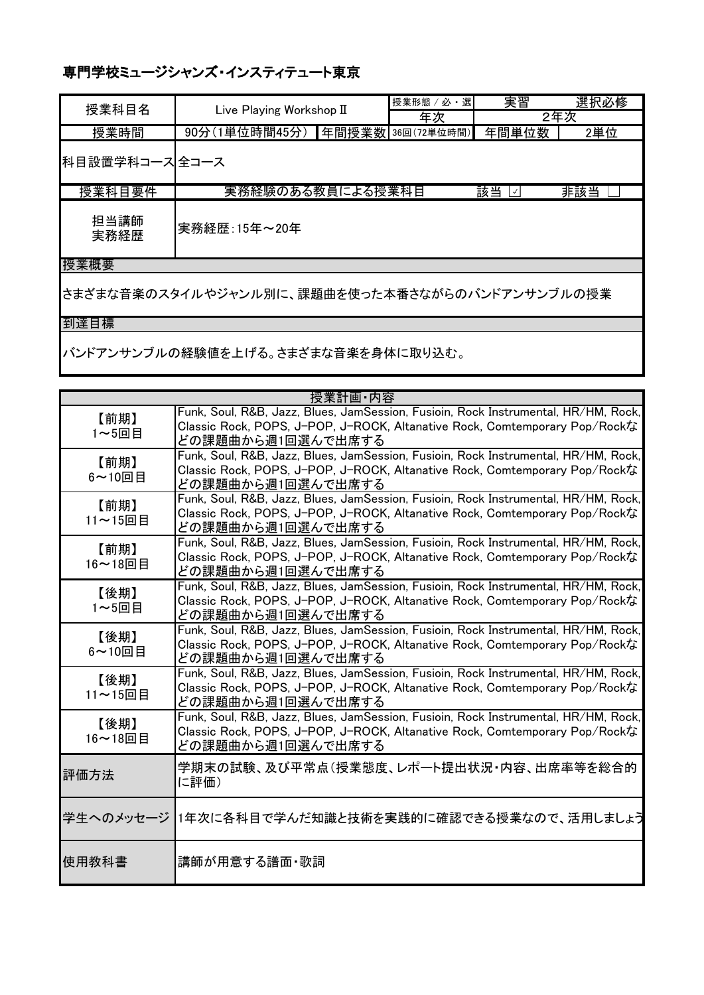| 授業科目名          | Live Playing Workshop II |  | ′必・選 <br>授業形態 /   | 実習       | 選択必修 |
|----------------|--------------------------|--|-------------------|----------|------|
|                |                          |  | 年次                | 2年次      |      |
| 授業時間           | 90分(1単位時間45分)            |  | 年間授業数 36回(72単位時間) | 年間単位数    | 2単位  |
| 科目設置学科コース」全コース |                          |  |                   |          |      |
| 授業科目要件         | 実務経験のある教員による授業科目         |  |                   | 該当<br>∣✓ | 非該当  |
| 担当講師<br>実務経歴   | 実務経歴:15年~20年             |  |                   |          |      |
| 授業概要           |                          |  |                   |          |      |

さまざまな音楽のスタイルやジャンル別に、課題曲を使った本番さながらのバンドアンサンブルの授業

到達目標

バンドアンサンブルの経験値を上げる。さまざまな音楽を身体に取り込む。

|                        | 授業計画·内容                                                                                                                                                                               |
|------------------------|---------------------------------------------------------------------------------------------------------------------------------------------------------------------------------------|
| 【前期】<br>1~5回目          | Funk, Soul, R&B, Jazz, Blues, JamSession, Fusioin, Rock Instrumental, HR/HM, Rock,<br>Classic Rock, POPS, J-POP, J-ROCK, Altanative Rock, Comtemporary Pop/Rockな<br>どの課題曲から週1回選んで出席する |
| 【前期】<br>$6$ ~10回目      | Funk, Soul, R&B, Jazz, Blues, JamSession, Fusioin, Rock Instrumental, HR/HM, Rock,<br>Classic Rock, POPS, J-POP, J-ROCK, Altanative Rock, Comtemporary Pop/Rockな<br>どの課題曲から週1回選んで出席する |
| 【前期】<br>11~15回目        | Funk, Soul, R&B, Jazz, Blues, JamSession, Fusioin, Rock Instrumental, HR/HM, Rock,<br>Classic Rock, POPS, J-POP, J-ROCK, Altanative Rock, Comtemporary Pop/Rockな<br>どの課題曲から週1回選んで出席する |
| 【前期】<br>16~18回目        | Funk, Soul, R&B, Jazz, Blues, JamSession, Fusioin, Rock Instrumental, HR/HM, Rock,<br>Classic Rock, POPS, J-POP, J-ROCK, Altanative Rock, Comtemporary Pop/Rockな<br>どの課題曲から週1回選んで出席する |
| 【後期】<br>$1 - 5$ 回目     | Funk, Soul, R&B, Jazz, Blues, JamSession, Fusioin, Rock Instrumental, HR/HM, Rock,<br>Classic Rock, POPS, J-POP, J-ROCK, Altanative Rock, Comtemporary Pop/Rockな<br>どの課題曲から週1回選んで出席する |
| 【後期】<br>$6 \sim 10$ 回目 | Funk, Soul, R&B, Jazz, Blues, JamSession, Fusioin, Rock Instrumental, HR/HM, Rock,<br>Classic Rock, POPS, J-POP, J-ROCK, Altanative Rock, Comtemporary Pop/Rockな<br>どの課題曲から週1回選んで出席する |
| 【後期】<br>11~15回目        | Funk, Soul, R&B, Jazz, Blues, JamSession, Fusioin, Rock Instrumental, HR/HM, Rock,<br>Classic Rock, POPS, J-POP, J-ROCK, Altanative Rock, Comtemporary Pop/Rockな<br>どの課題曲から週1回選んで出席する |
| 【後期】<br>16~18回目        | Funk, Soul, R&B, Jazz, Blues, JamSession, Fusioin, Rock Instrumental, HR/HM, Rock,<br>Classic Rock, POPS, J-POP, J-ROCK, Altanative Rock, Comtemporary Pop/Rockな<br>どの課題曲から週1回選んで出席する |
| 評価方法                   | 学期末の試験、及び平常点(授業態度、レポート提出状況・内容、出席率等を総合的<br>に評価)                                                                                                                                        |
|                        | 学生へのメッセージ  1年次に各科目で学んだ知識と技術を実践的に確認できる授業なので、活用しましょう                                                                                                                                    |
| 使用教科書                  | 講師が用意する譜面・歌詞                                                                                                                                                                          |